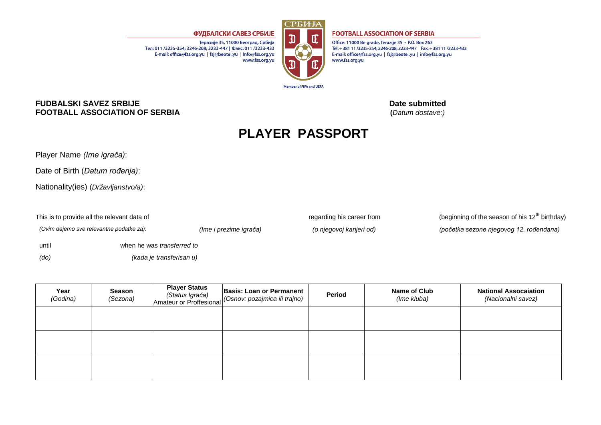

**Member of FIFA and UEFA** 

## **FOOTBALL ASSOCIATION OF SERBIA**

Office: 11000 Belgrade, Terazije 35 · P.O. Box 263 Tel: +381 11/3235-354; 3246-208; 3233-447 | Fax: +381 11/3233-433 E-mail: office@fss.org.yu | fsj@beotel.yu | info@fss.org.yu www.fss.org.yu

## **FUDBALSKI SAVEZ SRBIJE Date submitted 12.12.2013 12.12.2013 12.12.2013 FOOTBALL ASSOCIATION OF SERBIA**

## **PLAYER PASSPORT**

Player Name *(Ime igrača)*:

Date of Birth (*Datum rođenja)*:

Nationality(ies) (*Državljanstvo/a)*:

until when he was *transferred to (do) (kada je transferisan u)*

ФУДБАЛСКИ САВЕЗ СРБИЈЕ

Тел: 011 /3235-354: 3246-208: 3233-447 | Факс: 011 /3233-433

E-mail: office@fss.org.yu | fsj@beotel.yu | info@fss.org.yu

Теразије 35, 11000 Београд, Србија

www.fss.org.yu

This is to provide all the relevant data of regarding his career from (beginning of the season of his  $12<sup>th</sup>$  birthday) *(Ovim dajemo sve relevantne podatke za): (Ime i prezime igrača) (o njegovoj karijeri od) (početka sezone njegovog 12. rođendana)*

| Year<br>(Godina) | Season<br>(Sezona) | <b>Player Status</b><br>(Status Igrača)<br>Amateur or Proffesional | <b>Basis: Loan or Permanent</b><br>(Osnov: pozajmica ili trajno) | Period | Name of Club<br>(Ime kluba) | <b>National Assocaiation</b><br>(Nacionalni savez) |
|------------------|--------------------|--------------------------------------------------------------------|------------------------------------------------------------------|--------|-----------------------------|----------------------------------------------------|
|                  |                    |                                                                    |                                                                  |        |                             |                                                    |
|                  |                    |                                                                    |                                                                  |        |                             |                                                    |
|                  |                    |                                                                    |                                                                  |        |                             |                                                    |